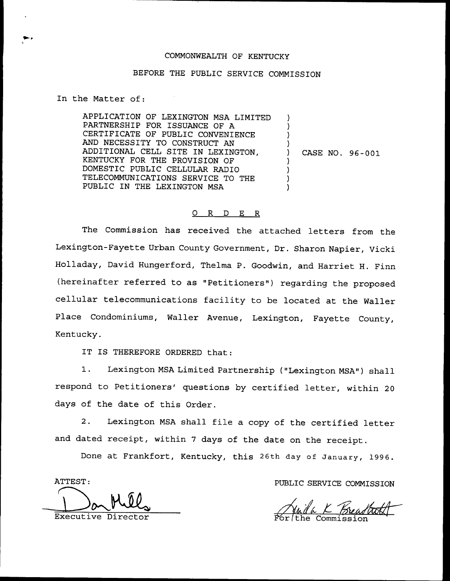## COMMONWEALTH OF KENTUCKY

## BEFORE THE PUBLIC SERVICE COMMISSION

In the Matter of:

APPLICATION OF LEXINGTON MSA LIMITED PARTNERSHIP FOR ISSUANCE OF A CERTIFICATE OF PUBLIC CONVENIENCE AND NECESSITY TO CONSTRUCT AN ADDITIONAL CELL SITE IN LEXINGTON, KENTUCKY FOR THE PROVISION OF DOMESTIC PUBLIC CELLULAR RADIO TELECOMMUNICATIONS SERVICE TO THE PUBLIC IN THE LEXINGTON MSA ) )  $\overline{\phantom{a}}$  $\overline{\mathcal{C}}$ ) CASE NO. 96-001 ) ) ) )

## 0 R <sup>D</sup> E R

The Commission has received the attached letters from the Lexington-Fayette Urban County Government, Dr. Sharon Napier, Vicki Holladay, David Hungerford, Thelma P. Goodwin, and Harriet H. Finn (hereinafter referred to as "Petitioners") regarding the proposed cellular telecommunications facility to be located at the Wailer Place Condominiums, Wailer Avenue, Lexington, Fayette County, Kentucky.

IT IS THEREFORE ORDERED that:

1. Lexington MSA Limited Partnership {"Lexington MSA") shall respond to Petitioners' questions by certified letter, within 20 days of the date of this Order.

2. Lexington MSA shall file a copy of the certified letter and dated receipt, within <sup>7</sup> days of the date on the receipt.

Done at Frankfort, Kentucky, this 26th day of January, 1996.

ATTEST:

Executive Dire

PUBLIC SERVICE COMMISSION

Anda K B For the Commission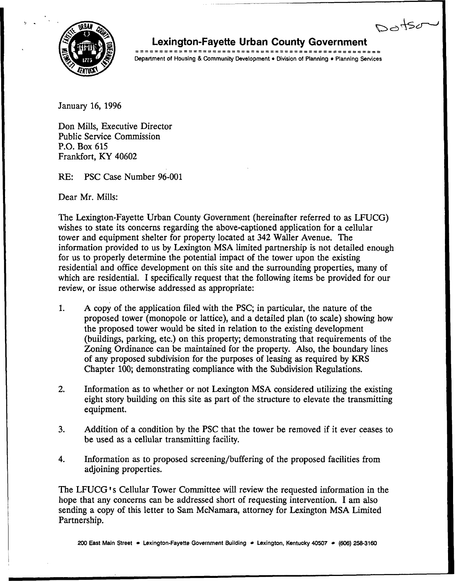

## Lexington-Fayeffe Urban County Government

Dotson

Department of Housing & Community Development . Division of Planning . Planning Services

January 16, 1996

Don Mills, Executive Director Public Service Commission P.O. Box 615 Frankfort, KY 40602

RE: PSC Case Number 96-001

Dear Mr. Mills:

The Lexington-Fayette Urban County Government (hereinafter referred to as LFUCG) wishes to state its concerns regarding the above-captioned application for a cellular tower and equipment shelter for property located at 342 Wailer Avenue. The information provided to us by Lexington MSA limited partnership is not detailed enough for us to properly determine the potential impact of the tower upon the existing residential and office development on this site and the surrounding properties, many of which are residential. I specifically request that the following items be provided for our review, or issue otherwise addressed as appropriate:

- A copy of the application filed with the PSC; in particular, the nature of the  $1.$ proposed tower (monopole or lattice), and a detailed plan (to scale) showing how the proposed tower would be sited in relation to the existing development (buildings, parking, etc.) on this property; demonstrating that requirements of the Zoning Ordinance can be maintained for the property. Also, the boundary lines of any proposed subdivision for the purposes of leasing as required by KRS Chapter 100; demonstrating compliance with the Subdivision Regulations.
- 2. Information as to whether or not Lexington MSA considered utilizing the existing eight story building on this site as part of the structure to elevate the transmitting equipment.
- 3. Addition of a condition by the PSC that the tower be removed if it ever ceases to be used as a cellular transmitting facility.
- 4. Information as to proposed screening/buffering of the proposed facilities from adjoining properties.

The LFUCG 's Cellular Tower Committee will review the requested information in the hope that any concerns can be addressed short of requesting intervention. I am also sending a copy of this letter to Sam McNamara, attorney for Lexington MSA Limited Partnership.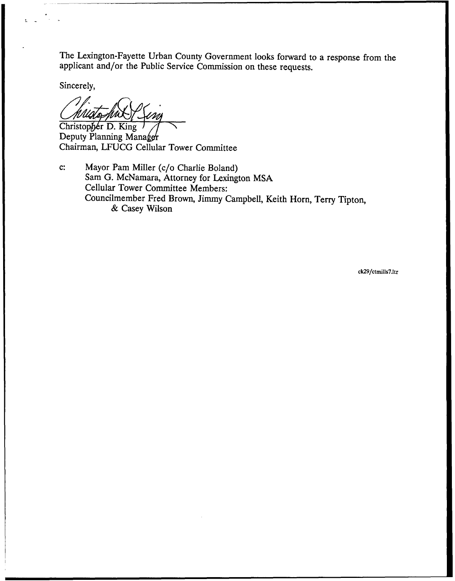The Lexington-Fayette Urban County Government looks forward to a response from the applicant and/or the Public Service Commission on these requests.

Sincerely,

 $\overline{\text{Christopher D. King}}$ 

Deputy Planning Manager Chairman, LFUCG Cellular Tower Committee

c: Mayor Pam Miller (c/o Charlie Boland) Sam G. McNamara, Attorney for Lexington MSA Cellular Tower Committee Members: Councilmember Fred Brown, Jimmy Campbell, Keith Horn, Terry Tipton, & Casey Wilson

ck29/ctmills7.ltr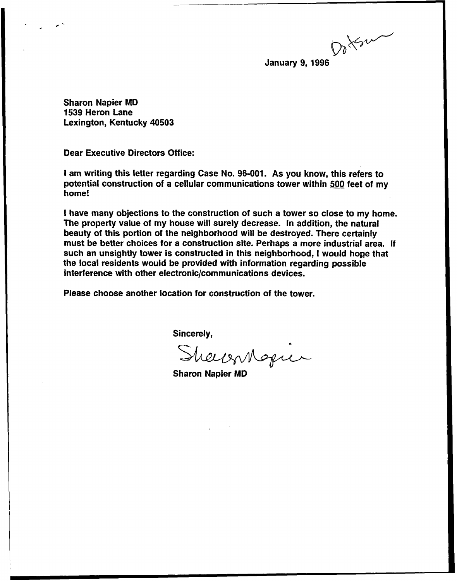Dotsum

January 9, 1996

Sharon Napier MD 1539 Heron Lane Lexington, Kentucky 40503

Dear Executive Directors Office:

I am writing this letter regarding Case No. 96-001. As you know, this refers to potential construction of a cellular communications tower within 500 feet of my home!

<sup>I</sup> have many objections to the construction of such a tower so close to my home. The property value of my house will surely decrease. In addition, the natural beauty of this portion of the neighborhood will be destroyed. There certainly must be better choices for a construction site. Perhaps a more industrial area. If such an unsightly tower is constructed in this neighborhood, <sup>I</sup> would hope that the local residents would be provided with information regarding possible interference with other electronic/communications devices.

Please choose another location for construction of the tower.

Sincerely,<br>Sharesmogue

Sharon Napier MD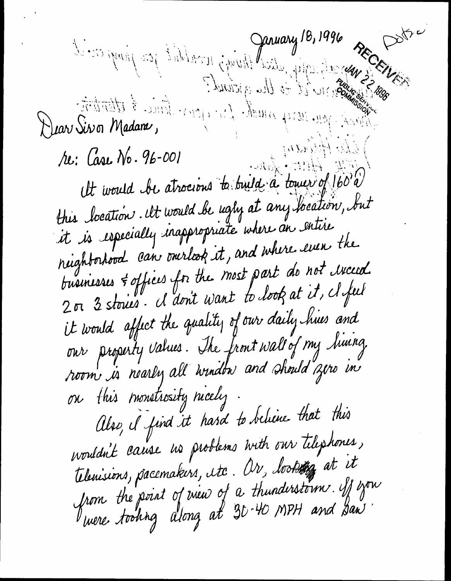Service of the company 18, 1996 Dott/c Dear Siron Madame,  $\{\mathcal{L}\mathcal{L}:H^d_{\mathbb{C}}(\mathcal{U}\mathcal{U})\}$ re: Case No. 96-001 It would be atrocions to build a tower of  $160'$ this location. It would be ugly at any hocation, but it is especially inappropriate where an entire neighborhood can onerlook it, and where even the businesses & offices for the most part do not incered 2 or 3 stories. I don't want to look at it, Nefeel it would affect the quality of our daily hies and our property values. The front wall of my huing. room is nearly all window and should zero in on this monstrosity nicely. Ulso, I find it hard to believe that this wouldn't cause us problems with our tilephones, telenisions, pacemakins, itc. Or, bookstoff at it from the point of riew of a thunderstorm. If you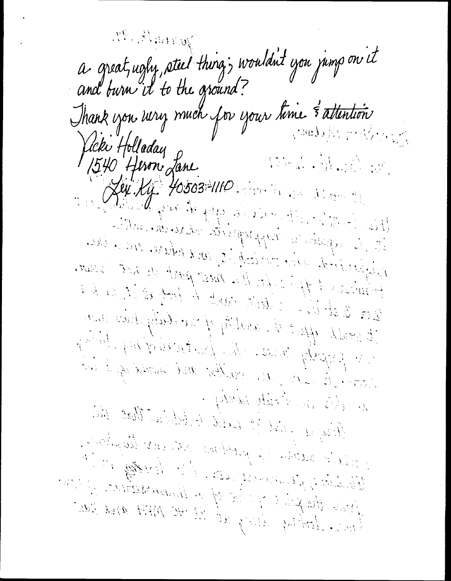$\left\langle \left\langle \mathcal{L}_{\mathcal{L}_{\mathcal{L}}} \right\rangle \left\langle \mathcal{L}_{\mathcal{L}_{\mathcal{L}}} \right\rangle \right\rangle_{\mathcal{L}_{\mathcal{L}}} \leq \left\langle \mathcal{L}_{\mathcal{L}_{\mathcal{L}}} \right\rangle_{\mathcal{L}_{\mathcal{L}}}$ a great, ugh, stiel thing; wouldn't you jump on it Thank you rury much for your time & attention Vicki Holladay<br>1540 Heron Lane  $\label{eq:q} \langle \nabla \ln \hat{X} + \hat{\gamma} \rangle_{\text{eff}} \langle \gamma \rangle_{\text{eff}}$  $107/44.14.40503.4110$ Stand the second the property of the second in the position of the E. A. B. Mest part of hold show. it wald that  $\#$  , and it if we duly that me we papelly must be fainted by papel Arab plant is the late the start of the ground in the statute of the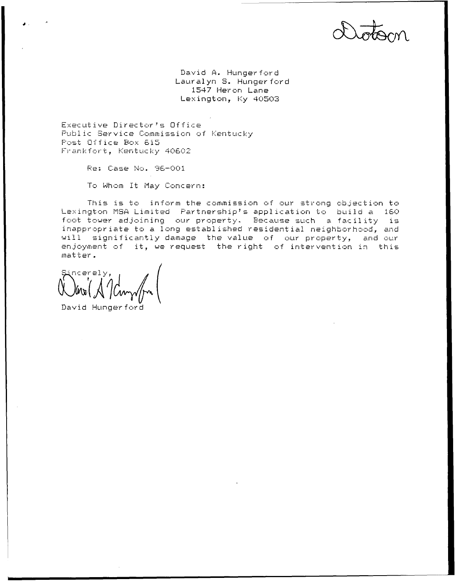

David A. Hungerford Lauralyn S. Hungerford 1547 Heron Lane Lexington, Ky 40503

Executive Director's Office Public Service Commission of Kentucky Post Office Box 615 Frankfort, Kentucky 40602

Re: Case No. 96-001

To Whom It May Concern:

This is to inform the commission of our strong objection to Lexington MSA Limited Partnership's application to build a 160 foot tower adjoining our property. Because such a facility is<br>inappropriate to a long established residential neighborhood, and will significantly damage the value of our property, and our enjoyment of it, we request the right of intervention in this matter.

incerely,

David Hungerford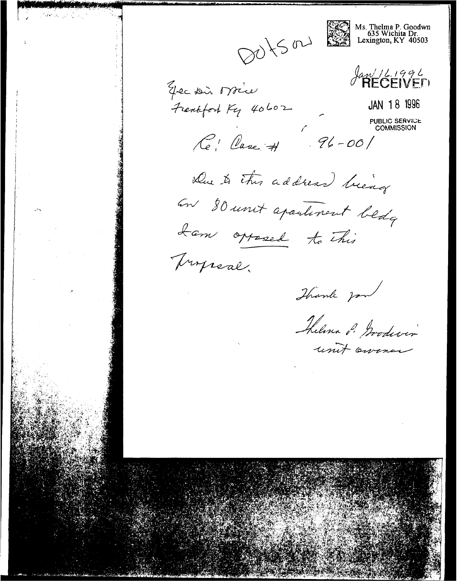